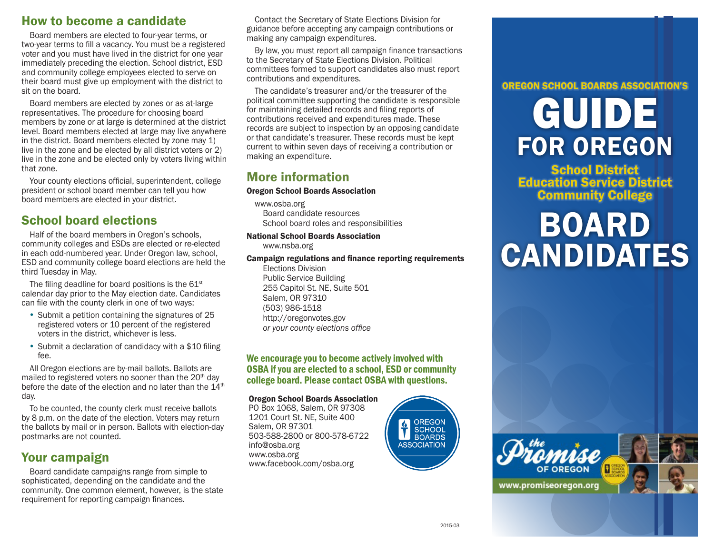## How to become a candidate

Board members are elected to four-year terms, or two-year terms to fill a vacancy. You must be a registered voter and you must have lived in the district for one year immediately preceding the election. School district, ESD and community college employees elected to serve on their board must give up employment with the district to sit on the board.

Board members are elected by zones or as at-large representatives. The procedure for choosing board members by zone or at large is determined at the district level. Board members elected at large may live anywhere in the district. Board members elected by zone may 1) live in the zone and be elected by all district voters or 2) live in the zone and be elected only by voters living within that zone.

Your county elections official, superintendent, college president or school board member can tell you how board members are elected in your district.

# School board elections

Half of the board members in Oregon's schools, community colleges and ESDs are elected or re-elected in each odd-numbered year. Under Oregon law, school, ESD and community college board elections are held the third Tuesday in May.

The filing deadline for board positions is the  $61<sup>st</sup>$ calendar day prior to the May election date. Candidates can file with the county clerk in one of two ways:

- Submit a petition containing the signatures of 25 registered voters or 10 percent of the registered voters in the district, whichever is less.
- Submit a declaration of candidacy with a \$10 filing fee.

All Oregon elections are by-mail ballots. Ballots are mailed to registered voters no sooner than the 20<sup>th</sup> day before the date of the election and no later than the  $14<sup>th</sup>$ day.

To be counted, the county clerk must receive ballots by 8 p.m. on the date of the election. Voters may return the ballots by mail or in person. Ballots with election-day postmarks are not counted.

# Your campaign

Board candidate campaigns range from simple to sophisticated, depending on the candidate and the community. One common element, however, is the state requirement for reporting campaign finances.

Contact the Secretary of State Elections Division for guidance before accepting any campaign contributions or making any campaign expenditures.

By law, you must report all campaign finance transactions to the Secretary of State Elections Division. Political committees formed to support candidates also must report contributions and expenditures.

The candidate's treasurer and/or the treasurer of the political committee supporting the candidate is responsible for maintaining detailed records and filing reports of contributions received and expenditures made. These records are subject to inspection by an opposing candidate or that candidate's treasurer. These records must be kept current to within seven days of receiving a contribution or making an expenditure.

# More information

### Oregon School Boards Association

www.osba.org Board candidate resources School board roles and responsibilities

### National School Boards Association

www.nsba.org

### Campaign regulations and finance reporting requirements

Elections Division Public Service Building 255 Capitol St. NE, Suite 501 Salem, OR 97310 (503) 986-1518 http://oregonvotes.gov *or your county elections office*

## We encourage you to become actively involved with OSBA if you are elected to a school, ESD or community college board. Please contact OSBA with questions.

#### Oregon School Boards Association

PO Box 1068, Salem, OR 97308 1201 Court St. NE, Suite 400 Salem, OR 97301 503-588-2800 or 800-578-6722 info@osba.org www.osba.org www.facebook.com/osba.org



## OREGON SCHOOL BOARDS ASSOCIATION'S

# GUIDE FOR OREGON

School District Education Service District Community College

# BOARD **CANDIDATES**